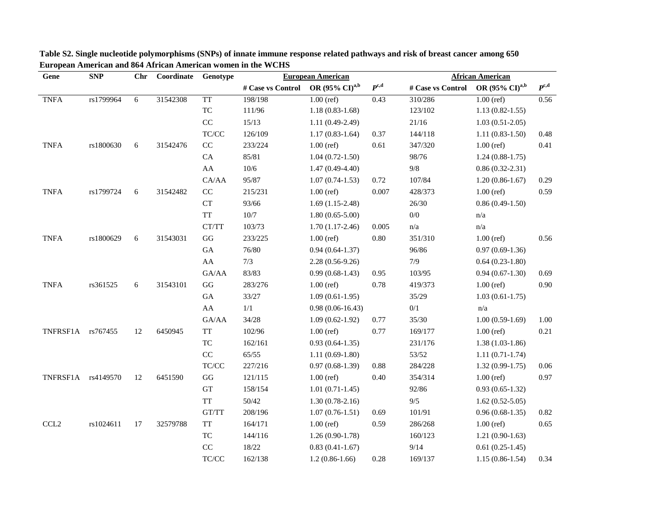| Gene              | <b>SNP</b> | Chr | Coordinate | Genotype                                                 | <b>European American</b> |                              |               | <b>African American</b> |                              |               |  |
|-------------------|------------|-----|------------|----------------------------------------------------------|--------------------------|------------------------------|---------------|-------------------------|------------------------------|---------------|--|
|                   |            |     |            |                                                          | # Case vs Control        | OR $(95\% \text{ CI})^{a,b}$ | $P^{\rm c,d}$ | # Case vs Control       | OR $(95\% \text{ CI})^{a,b}$ | $P^{\rm c,d}$ |  |
| <b>TNFA</b>       | rs1799964  | 6   | 31542308   | <b>TT</b>                                                | 198/198                  | $1.00$ (ref)                 | 0.43          | 310/286                 | $1.00$ (ref)                 | 0.56          |  |
|                   |            |     |            | <b>TC</b>                                                | 111/96                   | $1.18(0.83-1.68)$            |               | 123/102                 | $1.13(0.82 - 1.55)$          |               |  |
|                   |            |     |            | $\rm CC$                                                 | 15/13                    | $1.11(0.49-2.49)$            |               | 21/16                   | $1.03(0.51-2.05)$            |               |  |
|                   |            |     |            | $\ensuremath{\mathsf{T}\mathsf{C}/\mathsf{C}\mathsf{C}}$ | 126/109                  | $1.17(0.83-1.64)$            | 0.37          | 144/118                 | $1.11(0.83-1.50)$            | 0.48          |  |
| <b>TNFA</b>       | rs1800630  | 6   | 31542476   | $\rm CC$                                                 | 233/224                  | $1.00$ (ref)                 | 0.61          | 347/320                 | $1.00$ (ref)                 | 0.41          |  |
|                   |            |     |            | CA                                                       | 85/81                    | $1.04(0.72-1.50)$            |               | 98/76                   | $1.24(0.88-1.75)$            |               |  |
|                   |            |     |            | ${\rm AA}$                                               | $10/6$                   | $1.47(0.49-4.40)$            |               | 9/8                     | $0.86(0.32-2.31)$            |               |  |
|                   |            |     |            | CA/AA                                                    | 95/87                    | $1.07(0.74-1.53)$            | 0.72          | 107/84                  | $1.20(0.86-1.67)$            | 0.29          |  |
| <b>TNFA</b>       | rs1799724  | 6   | 31542482   | $\rm CC$                                                 | 215/231                  | $1.00$ (ref)                 | 0.007         | 428/373                 | $1.00$ (ref)                 | 0.59          |  |
|                   |            |     |            | CT                                                       | 93/66                    | $1.69(1.15-2.48)$            |               | 26/30                   | $0.86(0.49-1.50)$            |               |  |
|                   |            |     |            | <b>TT</b>                                                | $10/7$                   | $1.80(0.65-5.00)$            |               | $0/0$                   | n/a                          |               |  |
|                   |            |     |            | CT/TT                                                    | 103/73                   | $1.70(1.17-2.46)$            | 0.005         | n/a                     | n/a                          |               |  |
| <b>TNFA</b>       | rs1800629  | 6   | 31543031   | $\bf G G$                                                | 233/225                  | $1.00$ (ref)                 | 0.80          | 351/310                 | $1.00$ (ref)                 | 0.56          |  |
|                   |            |     |            | ${\rm GA}$                                               | 76/80                    | $0.94(0.64-1.37)$            |               | 96/86                   | $0.97(0.69-1.36)$            |               |  |
|                   |            |     |            | AA                                                       | 7/3                      | $2.28(0.56-9.26)$            |               | 7/9                     | $0.64(0.23-1.80)$            |               |  |
|                   |            |     |            | GA/AA                                                    | 83/83                    | $0.99(0.68-1.43)$            | 0.95          | 103/95                  | $0.94(0.67-1.30)$            | 0.69          |  |
| <b>TNFA</b>       | rs361525   | 6   | 31543101   | $\mathbf{G}\mathbf{G}$                                   | 283/276                  | $1.00$ (ref)                 | 0.78          | 419/373                 | $1.00$ (ref)                 | 0.90          |  |
|                   |            |     |            | ${\rm GA}$                                               | 33/27                    | $1.09(0.61-1.95)$            |               | 35/29                   | $1.03(0.61-1.75)$            |               |  |
|                   |            |     |            | ${\rm AA}$                                               | 1/1                      | $0.98(0.06 - 16.43)$         |               | 0/1                     | n/a                          |               |  |
|                   |            |     |            | ${\rm GA}/\rm AA$                                        | 34/28                    | $1.09(0.62-1.92)$            | 0.77          | 35/30                   | $1.00(0.59-1.69)$            | 1.00          |  |
| TNFRSF1A rs767455 |            | 12  | 6450945    | $\ensuremath{\mathcal{T}}\ensuremath{\mathcal{T}}$       | 102/96                   | $1.00$ (ref)                 | 0.77          | 169/177                 | $1.00$ (ref)                 | 0.21          |  |
|                   |            |     |            | $\protect\operatorname{TC}$                              | 162/161                  | $0.93(0.64-1.35)$            |               | 231/176                 | $1.38(1.03-1.86)$            |               |  |
|                   |            |     |            | $\rm CC$                                                 | 65/55                    | $1.11(0.69-1.80)$            |               | 53/52                   | $1.11(0.71-1.74)$            |               |  |
|                   |            |     |            | $\ensuremath{\mathsf{T}\mathsf{C}/\mathsf{C}\mathsf{C}}$ | 227/216                  | $0.97(0.68-1.39)$            | 0.88          | 284/228                 | $1.32(0.99-1.75)$            | $0.06\,$      |  |
| TNFRSF1A          | rs4149570  | 12  | 6451590    | $\mathbf{G}\mathbf{G}$                                   | 121/115                  | $1.00$ (ref)                 | 0.40          | 354/314                 | $1.00$ (ref)                 | 0.97          |  |
|                   |            |     |            | GT                                                       | 158/154                  | $1.01(0.71-1.45)$            |               | 92/86                   | $0.93(0.65-1.32)$            |               |  |
|                   |            |     |            | <b>TT</b>                                                | 50/42                    | $1.30(0.78-2.16)$            |               | 9/5                     | $1.62(0.52 - 5.05)$          |               |  |
|                   |            |     |            | $\operatorname{GT}/\operatorname{TT}$                    | 208/196                  | $1.07(0.76-1.51)$            | 0.69          | 101/91                  | $0.96(0.68-1.35)$            | 0.82          |  |
| CCL <sub>2</sub>  | rs1024611  | 17  | 32579788   | <b>TT</b>                                                | 164/171                  | $1.00$ (ref)                 | 0.59          | 286/268                 | $1.00$ (ref)                 | 0.65          |  |
|                   |            |     |            | TC                                                       | 144/116                  | $1.26(0.90-1.78)$            |               | 160/123                 | $1.21(0.90-1.63)$            |               |  |
|                   |            |     |            | CC                                                       | 18/22                    | $0.83(0.41-1.67)$            |               | 9/14                    | $0.61(0.25-1.45)$            |               |  |
|                   |            |     |            | TC/CC                                                    | 162/138                  | $1.2(0.86-1.66)$             | 0.28          | 169/137                 | $1.15(0.86-1.54)$            | 0.34          |  |

 **Table S2. Single nucleotide polymorphisms (SNPs) of innate immune response related pathways and risk of breast cancer among 650 European American and 864 African American women in the WCHS**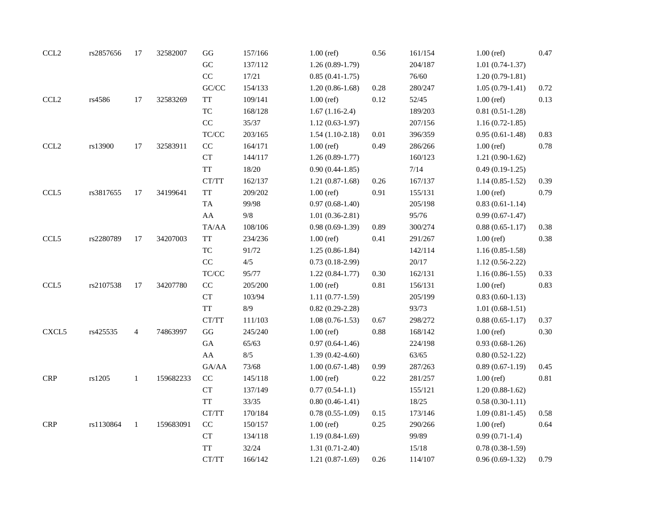| CCL <sub>2</sub> | rs2857656 | 17             | 32582007  | $\mathbf{G}\mathbf{G}$                                   | 157/166 | $1.00$ (ref)        | $0.56\,$ | 161/154 | $1.00$ (ref)      | 0.47 |
|------------------|-----------|----------------|-----------|----------------------------------------------------------|---------|---------------------|----------|---------|-------------------|------|
|                  |           |                |           | ${\rm GC}$                                               | 137/112 | $1.26(0.89-1.79)$   |          | 204/187 | $1.01(0.74-1.37)$ |      |
|                  |           |                |           | $\rm CC$                                                 | 17/21   | $0.85(0.41-1.75)$   |          | 76/60   | $1.20(0.79-1.81)$ |      |
|                  |           |                |           | GC/CC                                                    | 154/133 | $1.20(0.86-1.68)$   | $0.28\,$ | 280/247 | $1.05(0.79-1.41)$ | 0.72 |
| CCL <sub>2</sub> | rs4586    | $17\,$         | 32583269  | <b>TT</b>                                                | 109/141 | $1.00$ (ref)        | 0.12     | 52/45   | $1.00$ (ref)      | 0.13 |
|                  |           |                |           | $\protect\operatorname{TC}$                              | 168/128 | $1.67(1.16-2.4)$    |          | 189/203 | $0.81(0.51-1.28)$ |      |
|                  |           |                |           | $\rm CC$                                                 | 35/37   | $1.12(0.63-1.97)$   |          | 207/156 | $1.16(0.72-1.85)$ |      |
|                  |           |                |           | $\ensuremath{\mathsf{T}\mathsf{C}/\mathsf{C}\mathsf{C}}$ | 203/165 | $1.54(1.10-2.18)$   | 0.01     | 396/359 | $0.95(0.61-1.48)$ | 0.83 |
| CCL <sub>2</sub> | rs13900   | 17             | 32583911  | CC                                                       | 164/171 | $1.00$ (ref)        | 0.49     | 286/266 | $1.00$ (ref)      | 0.78 |
|                  |           |                |           | CT                                                       | 144/117 | $1.26(0.89-1.77)$   |          | 160/123 | $1.21(0.90-1.62)$ |      |
|                  |           |                |           | <b>TT</b>                                                | 18/20   | $0.90(0.44-1.85)$   |          | 7/14    | $0.49(0.19-1.25)$ |      |
|                  |           |                |           | CT/TT                                                    | 162/137 | $1.21(0.87-1.68)$   | 0.26     | 167/137 | $1.14(0.85-1.52)$ | 0.39 |
| CCL5             | rs3817655 | 17             | 34199641  | <b>TT</b>                                                | 209/202 | $1.00$ (ref)        | 0.91     | 155/131 | $1.00$ (ref)      | 0.79 |
|                  |           |                |           | TA                                                       | 99/98   | $0.97(0.68-1.40)$   |          | 205/198 | $0.83(0.61-1.14)$ |      |
|                  |           |                |           | ${\rm AA}$                                               | $9/8$   | $1.01(0.36-2.81)$   |          | 95/76   | $0.99(0.67-1.47)$ |      |
|                  |           |                |           | TA/AA                                                    | 108/106 | $0.98(0.69-1.39)$   | 0.89     | 300/274 | $0.88(0.65-1.17)$ | 0.38 |
| CCL5             | rs2280789 | 17             | 34207003  | <b>TT</b>                                                | 234/236 | $1.00$ (ref)        | 0.41     | 291/267 | $1.00$ (ref)      | 0.38 |
|                  |           |                |           | <b>TC</b>                                                | 91/72   | $1.25(0.86-1.84)$   |          | 142/114 | $1.16(0.85-1.58)$ |      |
|                  |           |                |           | $\rm CC$                                                 | 4/5     | $0.73(0.18-2.99)$   |          | 20/17   | $1.12(0.56-2.22)$ |      |
|                  |           |                |           | $\ensuremath{\mathsf{T}\mathsf{C}/\mathsf{C}\mathsf{C}}$ | 95/77   | $1.22(0.84-1.77)$   | 0.30     | 162/131 | $1.16(0.86-1.55)$ | 0.33 |
| CCL5             | rs2107538 | 17             | 34207780  | $\rm CC$                                                 | 205/200 | $1.00$ (ref)        | 0.81     | 156/131 | $1.00$ (ref)      | 0.83 |
|                  |           |                |           | ${\cal C}{\cal T}$                                       | 103/94  | $1.11(0.77-1.59)$   |          | 205/199 | $0.83(0.60-1.13)$ |      |
|                  |           |                |           | <b>TT</b>                                                | 8/9     | $0.82(0.29-2.28)$   |          | 93/73   | $1.01(0.68-1.51)$ |      |
|                  |           |                |           | CT/TT                                                    | 111/103 | $1.08(0.76-1.53)$   | 0.67     | 298/272 | $0.88(0.65-1.17)$ | 0.37 |
| CXCL5            | rs425535  | $\overline{4}$ | 74863997  | GG                                                       | 245/240 | $1.00$ (ref)        | 0.88     | 168/142 | $1.00$ (ref)      | 0.30 |
|                  |           |                |           | ${\rm GA}$                                               | 65/63   | $0.97(0.64-1.46)$   |          | 224/198 | $0.93(0.68-1.26)$ |      |
|                  |           |                |           | ${\rm AA}$                                               | $8/5$   | $1.39(0.42 - 4.60)$ |          | 63/65   | $0.80(0.52-1.22)$ |      |
|                  |           |                |           | GA/AA                                                    | 73/68   | $1.00(0.67-1.48)$   | 0.99     | 287/263 | $0.89(0.67-1.19)$ | 0.45 |
| CRP              | rs1205    | $\mathbf{1}$   | 159682233 | $\rm CC$                                                 | 145/118 | $1.00$ (ref)        | 0.22     | 281/257 | $1.00$ (ref)      | 0.81 |
|                  |           |                |           | CT                                                       | 137/149 | $0.77(0.54-1.1)$    |          | 155/121 | $1.20(0.88-1.62)$ |      |
|                  |           |                |           | <b>TT</b>                                                | 33/35   | $0.80(0.46-1.41)$   |          | 18/25   | $0.58(0.30-1.11)$ |      |
|                  |           |                |           | CT/TT                                                    | 170/184 | $0.78(0.55-1.09)$   | 0.15     | 173/146 | $1.09(0.81-1.45)$ | 0.58 |
| CRP              | rs1130864 | $\mathbf{1}$   | 159683091 | $\rm CC$                                                 | 150/157 | $1.00$ (ref)        | 0.25     | 290/266 | $1.00$ (ref)      | 0.64 |
|                  |           |                |           | ${\cal C}{\cal T}$                                       | 134/118 | $1.19(0.84-1.69)$   |          | 99/89   | $0.99(0.71-1.4)$  |      |
|                  |           |                |           | <b>TT</b>                                                | 32/24   | $1.31(0.71 - 2.40)$ |          | 15/18   | $0.78(0.38-1.59)$ |      |
|                  |           |                |           | CT/TT                                                    | 166/142 | $1.21(0.87-1.69)$   | 0.26     | 114/107 | $0.96(0.69-1.32)$ | 0.79 |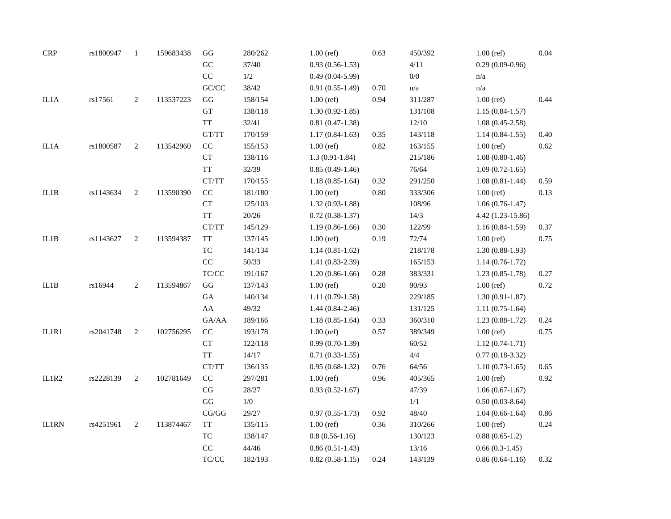| <b>CRP</b>   | rs1800947 | $\mathbf{1}$   | 159683438 | $\mathbf{G}\mathbf{G}$                                   | 280/262 | $1.00$ (ref)        | 0.63 | 450/392 | $1.00$ (ref)      | 0.04 |
|--------------|-----------|----------------|-----------|----------------------------------------------------------|---------|---------------------|------|---------|-------------------|------|
|              |           |                |           | ${\rm GC}$                                               | 37/40   | $0.93(0.56-1.53)$   |      | 4/11    | $0.29(0.09-0.96)$ |      |
|              |           |                |           | $\rm CC$                                                 | $1/2\,$ | $0.49(0.04-5.99)$   |      | $0/0$   | n/a               |      |
|              |           |                |           | $\mathrm{G}\mathrm{C}/\mathrm{C}\mathrm{C}$              | 38/42   | $0.91(0.55-1.49)$   | 0.70 | n/a     | n/a               |      |
| IL1A         | rs17561   | $\overline{c}$ | 113537223 | GG                                                       | 158/154 | $1.00$ (ref)        | 0.94 | 311/287 | $1.00$ (ref)      | 0.44 |
|              |           |                |           | ${\rm GT}$                                               | 138/118 | $1.30(0.92 - 1.85)$ |      | 131/108 | $1.15(0.84-1.57)$ |      |
|              |           |                |           | $\ensuremath{\mathsf{T}}\ensuremath{\mathsf{T}}$         | 32/41   | $0.81(0.47-1.38)$   |      | 12/10   | $1.08(0.45-2.58)$ |      |
|              |           |                |           | $\operatorname{GT}/\operatorname{TT}$                    | 170/159 | $1.17(0.84-1.63)$   | 0.35 | 143/118 | $1.14(0.84-1.55)$ | 0.40 |
| IL1A         | rs1800587 | $\overline{c}$ | 113542960 | $\rm CC$                                                 | 155/153 | $1.00$ (ref)        | 0.82 | 163/155 | $1.00$ (ref)      | 0.62 |
|              |           |                |           | CT                                                       | 138/116 | $1.3(0.91 - 1.84)$  |      | 215/186 | $1.08(0.80-1.46)$ |      |
|              |           |                |           | $\ensuremath{\mathcal{T}}\ensuremath{\mathcal{T}}$       | 32/39   | $0.85(0.49-1.46)$   |      | 76/64   | $1.09(0.72-1.65)$ |      |
|              |           |                |           | CT/TT                                                    | 170/155 | $1.18(0.85-1.64)$   | 0.32 | 291/250 | $1.08(0.81-1.44)$ | 0.59 |
| IL1B         | rs1143634 | 2              | 113590390 | $\rm CC$                                                 | 181/180 | $1.00$ (ref)        | 0.80 | 333/306 | $1.00$ (ref)      | 0.13 |
|              |           |                |           | CT                                                       | 125/103 | $1.32(0.93-1.88)$   |      | 108/96  | $1.06(0.76-1.47)$ |      |
|              |           |                |           | <b>TT</b>                                                | 20/26   | $0.72(0.38-1.37)$   |      | 14/3    | 4.42 (1.23-15.86) |      |
|              |           |                |           | CT/TT                                                    | 145/129 | $1.19(0.86-1.66)$   | 0.30 | 122/99  | $1.16(0.84-1.59)$ | 0.37 |
| IL1B         | rs1143627 | 2              | 113594387 | <b>TT</b>                                                | 137/145 | $1.00$ (ref)        | 0.19 | 72/74   | $1.00$ (ref)      | 0.75 |
|              |           |                |           | TC                                                       | 141/134 | $1.14(0.81-1.62)$   |      | 218/178 | $1.30(0.88-1.93)$ |      |
|              |           |                |           | $\rm CC$                                                 | 50/33   | $1.41(0.83-2.39)$   |      | 165/153 | $1.14(0.76-1.72)$ |      |
|              |           |                |           | $\ensuremath{\mathsf{T}\mathsf{C}/\mathsf{C}\mathsf{C}}$ | 191/167 | $1.20(0.86-1.66)$   | 0.28 | 383/331 | $1.23(0.85-1.78)$ | 0.27 |
| IL1B         | rs16944   | $\overline{c}$ | 113594867 | $\mathbf{G}\mathbf{G}$                                   | 137/143 | $1.00$ (ref)        | 0.20 | 90/93   | $1.00$ (ref)      | 0.72 |
|              |           |                |           | ${\rm GA}$                                               | 140/134 | $1.11(0.79-1.58)$   |      | 229/185 | $1.30(0.91-1.87)$ |      |
|              |           |                |           | ${\rm AA}$                                               | 49/32   | $1.44(0.84-2.46)$   |      | 131/125 | $1.11(0.75-1.64)$ |      |
|              |           |                |           | GA/AA                                                    | 189/166 | $1.18(0.85-1.64)$   | 0.33 | 360/310 | $1.23(0.88-1.72)$ | 0.24 |
| IL1R1        | rs2041748 | 2              | 102756295 | $\rm CC$                                                 | 193/178 | $1.00$ (ref)        | 0.57 | 389/349 | $1.00$ (ref)      | 0.75 |
|              |           |                |           | CT                                                       | 122/118 | $0.99(0.70-1.39)$   |      | 60/52   | $1.12(0.74-1.71)$ |      |
|              |           |                |           | TT                                                       | 14/17   | $0.71(0.33-1.55)$   |      | $4/4\,$ | $0.77(0.18-3.32)$ |      |
|              |           |                |           | CT/TT                                                    | 136/135 | $0.95(0.68-1.32)$   | 0.76 | 64/56   | $1.10(0.73-1.65)$ | 0.65 |
| IL1R2        | rs2228139 | $\overline{c}$ | 102781649 | $\rm CC$                                                 | 297/281 | $1.00$ (ref)        | 0.96 | 405/365 | $1.00$ (ref)      | 0.92 |
|              |           |                |           | $\rm CG$                                                 | 28/27   | $0.93(0.52 - 1.67)$ |      | 47/39   | $1.06(0.67-1.67)$ |      |
|              |           |                |           | $\mathbf{G}\mathbf{G}$                                   | 1/0     |                     |      | 1/1     | $0.50(0.03-8.64)$ |      |
|              |           |                |           | $\mathbf{CG}/\mathbf{GG}$                                | 29/27   | $0.97(0.55 - 1.73)$ | 0.92 | 48/40   | $1.04(0.66-1.64)$ | 0.86 |
| <b>IL1RN</b> | rs4251961 | 2              | 113874467 | <b>TT</b>                                                | 135/115 | $1.00$ (ref)        | 0.36 | 310/266 | $1.00$ (ref)      | 0.24 |
|              |           |                |           | ${\rm TC}$                                               | 138/147 | $0.8(0.56-1.16)$    |      | 130/123 | $0.88(0.65-1.2)$  |      |
|              |           |                |           | $\rm CC$                                                 | 44/46   | $0.86(0.51-1.43)$   |      | 13/16   | $0.66(0.3-1.45)$  |      |
|              |           |                |           | $\ensuremath{\mathsf{T}\mathsf{C}/\mathsf{C}\mathsf{C}}$ | 182/193 | $0.82(0.58-1.15)$   | 0.24 | 143/139 | $0.86(0.64-1.16)$ | 0.32 |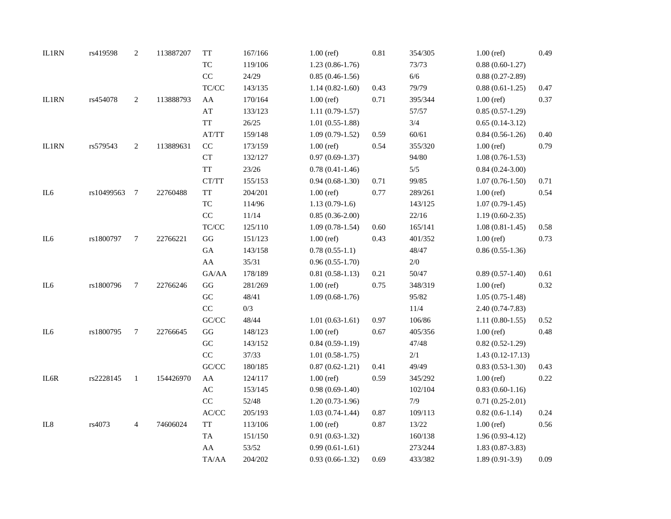| <b>IL1RN</b>    | rs419598   | $\boldsymbol{2}$ | 113887207 | <b>TT</b>                                                | 167/166 | $1.00$ (ref)        | $0.81\,$ | 354/305 | $1.00$ (ref)       | 0.49     |
|-----------------|------------|------------------|-----------|----------------------------------------------------------|---------|---------------------|----------|---------|--------------------|----------|
|                 |            |                  |           | $\protect\operatorname{TC}$                              | 119/106 | $1.23(0.86-1.76)$   |          | 73/73   | $0.88(0.60-1.27)$  |          |
|                 |            |                  |           | CC                                                       | 24/29   | $0.85(0.46-1.56)$   |          | $6/6$   | $0.88(0.27-2.89)$  |          |
|                 |            |                  |           | $\ensuremath{\mathsf{T}\mathsf{C}/\mathsf{C}\mathsf{C}}$ | 143/135 | $1.14(0.82 - 1.60)$ | 0.43     | 79/79   | $0.88(0.61-1.25)$  | 0.47     |
| <b>IL1RN</b>    | rs454078   | 2                | 113888793 | ${\rm AA}$                                               | 170/164 | $1.00$ (ref)        | 0.71     | 395/344 | $1.00$ (ref)       | 0.37     |
|                 |            |                  |           | $\mathbf{A}\mathbf{T}$                                   | 133/123 | $1.11(0.79-1.57)$   |          | 57/57   | $0.85(0.57-1.29)$  |          |
|                 |            |                  |           | <b>TT</b>                                                | 26/25   | $1.01(0.55-1.88)$   |          | 3/4     | $0.65(0.14-3.12)$  |          |
|                 |            |                  |           | AT/TT                                                    | 159/148 | $1.09(0.79-1.52)$   | 0.59     | 60/61   | $0.84(0.56-1.26)$  | 0.40     |
| <b>IL1RN</b>    | rs579543   | 2                | 113889631 | $\rm CC$                                                 | 173/159 | $1.00$ (ref)        | 0.54     | 355/320 | $1.00$ (ref)       | 0.79     |
|                 |            |                  |           | CT                                                       | 132/127 | $0.97(0.69-1.37)$   |          | 94/80   | $1.08(0.76-1.53)$  |          |
|                 |            |                  |           | <b>TT</b>                                                | 23/26   | $0.78(0.41-1.46)$   |          | 5/5     | $0.84(0.24-3.00)$  |          |
|                 |            |                  |           | $\operatorname{CT}/\operatorname{TT}$                    | 155/153 | $0.94(0.68-1.30)$   | 0.71     | 99/85   | $1.07(0.76-1.50)$  | 0.71     |
| IL6             | rs10499563 | $\overline{7}$   | 22760488  | <b>TT</b>                                                | 204/201 | $1.00$ (ref)        | 0.77     | 289/261 | $1.00$ (ref)       | 0.54     |
|                 |            |                  |           | $\protect\operatorname{TC}$                              | 114/96  | $1.13(0.79-1.6)$    |          | 143/125 | $1.07(0.79-1.45)$  |          |
|                 |            |                  |           | $\rm CC$                                                 | 11/14   | $0.85(0.36-2.00)$   |          | 22/16   | $1.19(0.60-2.35)$  |          |
|                 |            |                  |           | $\ensuremath{\mathsf{T}\mathsf{C}/\mathsf{C}\mathsf{C}}$ | 125/110 | $1.09(0.78-1.54)$   | 0.60     | 165/141 | $1.08(0.81-1.45)$  | 0.58     |
| IL6             | rs1800797  | $\tau$           | 22766221  | $\mathbf{G}\mathbf{G}$                                   | 151/123 | $1.00$ (ref)        | 0.43     | 401/352 | $1.00$ (ref)       | 0.73     |
|                 |            |                  |           | ${\rm GA}$                                               | 143/158 | $0.78(0.55-1.1)$    |          | 48/47   | $0.86(0.55-1.36)$  |          |
|                 |            |                  |           | ${\rm AA}$                                               | 35/31   | $0.96(0.55-1.70)$   |          | $2/0$   |                    |          |
|                 |            |                  |           | ${\rm GA}/\rm AA$                                        | 178/189 | $0.81(0.58-1.13)$   | 0.21     | 50/47   | $0.89(0.57-1.40)$  | 0.61     |
| IL6             | rs1800796  | $\tau$           | 22766246  | $\mathbf{G}\mathbf{G}$                                   | 281/269 | $1.00$ (ref)        | 0.75     | 348/319 | $1.00$ (ref)       | 0.32     |
|                 |            |                  |           | ${\rm GC}$                                               | 48/41   | $1.09(0.68-1.76)$   |          | 95/82   | $1.05(0.75-1.48)$  |          |
|                 |            |                  |           | $\rm CC$                                                 | 0/3     |                     |          | $11/4$  | $2.40(0.74-7.83)$  |          |
|                 |            |                  |           | $\mathrm{G}\mathrm{C}/\mathrm{C}\mathrm{C}$              | 48/44   | $1.01(0.63-1.61)$   | 0.97     | 106/86  | $1.11(0.80-1.55)$  | 0.52     |
| IL <sub>6</sub> | rs1800795  | 7                | 22766645  | $\mathbf{G}\mathbf{G}$                                   | 148/123 | $1.00$ (ref)        | 0.67     | 405/356 | $1.00$ (ref)       | 0.48     |
|                 |            |                  |           | ${\rm GC}$                                               | 143/152 | $0.84(0.59-1.19)$   |          | 47/48   | $0.82(0.52-1.29)$  |          |
|                 |            |                  |           | $\rm CC$                                                 | 37/33   | $1.01(0.58-1.75)$   |          | $2/1\,$ | $1.43(0.12-17.13)$ |          |
|                 |            |                  |           | $\mathrm{G}\mathrm{C}/\mathrm{C}\mathrm{C}$              | 180/185 | $0.87(0.62 - 1.21)$ | 0.41     | 49/49   | $0.83(0.53-1.30)$  | 0.43     |
| IL6R            | rs2228145  | $\mathbf{1}$     | 154426970 | ${\rm AA}$                                               | 124/117 | $1.00$ (ref)        | 0.59     | 345/292 | $1.00$ (ref)       | $0.22\,$ |
|                 |            |                  |           | $\mathbf{A}\mathbf{C}$                                   | 153/145 | $0.98(0.69-1.40)$   |          | 102/104 | $0.83(0.60-1.16)$  |          |
|                 |            |                  |           | $\rm CC$                                                 | 52/48   | $1.20(0.73-1.96)$   |          | 7/9     | $0.71(0.25-2.01)$  |          |
|                 |            |                  |           | $\ensuremath{\text{AC}/\text{CC}}$                       | 205/193 | $1.03(0.74-1.44)$   | 0.87     | 109/113 | $0.82(0.6-1.14)$   | 0.24     |
| IL8             | rs4073     | $\overline{4}$   | 74606024  | $\ensuremath{\mathsf{T}}\ensuremath{\mathsf{T}}$         | 113/106 | $1.00$ (ref)        | 0.87     | 13/22   | $1.00$ (ref)       | 0.56     |
|                 |            |                  |           | TA                                                       | 151/150 | $0.91(0.63-1.32)$   |          | 160/138 | $1.96(0.93-4.12)$  |          |
|                 |            |                  |           | ${\rm AA}$                                               | 53/52   | $0.99(0.61-1.61)$   |          | 273/244 | $1.83(0.87-3.83)$  |          |
|                 |            |                  |           | TA/AA                                                    | 204/202 | $0.93(0.66-1.32)$   | 0.69     | 433/382 | $1.89(0.91-3.9)$   | 0.09     |